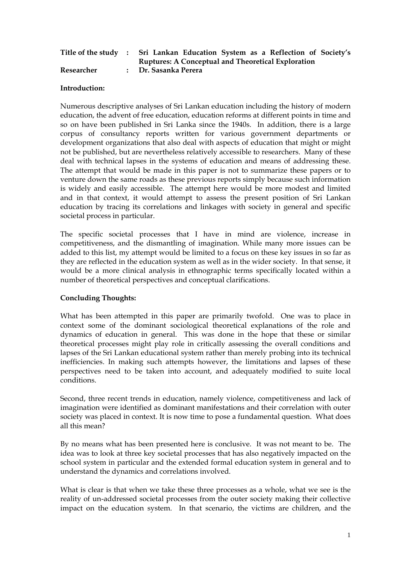|            | Title of the study : Sri Lankan Education System as a Reflection of Society's |
|------------|-------------------------------------------------------------------------------|
|            | <b>Ruptures: A Conceptual and Theoretical Exploration</b>                     |
| Researcher | : Dr. Sasanka Perera                                                          |

## **Introduction:**

Numerous descriptive analyses of Sri Lankan education including the history of modern education, the advent of free education, education reforms at different points in time and so on have been published in Sri Lanka since the 1940s. In addition, there is a large corpus of consultancy reports written for various government departments or development organizations that also deal with aspects of education that might or might not be published, but are nevertheless relatively accessible to researchers. Many of these deal with technical lapses in the systems of education and means of addressing these. The attempt that would be made in this paper is not to summarize these papers or to venture down the same roads as these previous reports simply because such information is widely and easily accessible. The attempt here would be more modest and limited and in that context, it would attempt to assess the present position of Sri Lankan education by tracing its correlations and linkages with society in general and specific societal process in particular.

The specific societal processes that I have in mind are violence, increase in competitiveness, and the dismantling of imagination. While many more issues can be added to this list, my attempt would be limited to a focus on these key issues in so far as they are reflected in the education system as well as in the wider society. In that sense, it would be a more clinical analysis in ethnographic terms specifically located within a number of theoretical perspectives and conceptual clarifications.

## **Concluding Thoughts:**

What has been attempted in this paper are primarily twofold. One was to place in context some of the dominant sociological theoretical explanations of the role and dynamics of education in general. This was done in the hope that these or similar theoretical processes might play role in critically assessing the overall conditions and lapses of the Sri Lankan educational system rather than merely probing into its technical inefficiencies. In making such attempts however, the limitations and lapses of these perspectives need to be taken into account, and adequately modified to suite local conditions.

Second, three recent trends in education, namely violence, competitiveness and lack of imagination were identified as dominant manifestations and their correlation with outer society was placed in context. It is now time to pose a fundamental question. What does all this mean?

By no means what has been presented here is conclusive. It was not meant to be. The idea was to look at three key societal processes that has also negatively impacted on the school system in particular and the extended formal education system in general and to understand the dynamics and correlations involved.

What is clear is that when we take these three processes as a whole, what we see is the reality of un-addressed societal processes from the outer society making their collective impact on the education system. In that scenario, the victims are children, and the